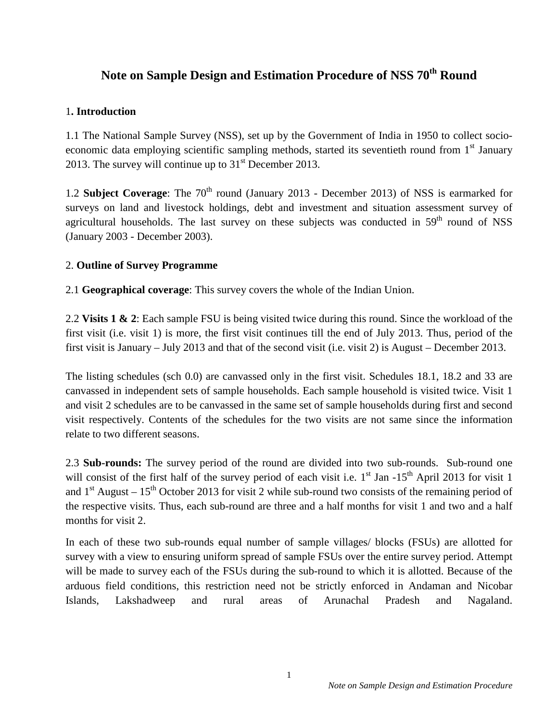# Note on Sample Design and Estimation Procedure of NSS  $70<sup>th</sup>$  Round

#### 1**. Introduction**

1.1 The National Sample Survey (NSS), set up by the Government of India in 1950 to collect socioeconomic data employing scientific sampling methods, started its seventieth round from 1<sup>st</sup> January 2013. The survey will continue up to  $31<sup>st</sup>$  December 2013.

1.2 **Subject Coverage**: The 70<sup>th</sup> round (January 2013 - December 2013) of NSS is earmarked for surveys on land and livestock holdings, debt and investment and situation assessment survey of agricultural households. The last survey on these subjects was conducted in  $59<sup>th</sup>$  round of NSS (January 2003 - December 2003).

# 2. **Outline of Survey Programme**

2.1 **Geographical coverage**: This survey covers the whole of the Indian Union.

2.2 **Visits 1 & 2**: Each sample FSU is being visited twice during this round. Since the workload of the first visit (i.e. visit 1) is more, the first visit continues till the end of July 2013. Thus, period of the first visit is January – July 2013 and that of the second visit (i.e. visit 2) is August – December 2013.

The listing schedules (sch 0.0) are canvassed only in the first visit. Schedules 18.1, 18.2 and 33 are canvassed in independent sets of sample households. Each sample household is visited twice. Visit 1 and visit 2 schedules are to be canvassed in the same set of sample households during first and second visit respectively. Contents of the schedules for the two visits are not same since the information relate to two different seasons.

2.3 **Sub-rounds:** The survey period of the round are divided into two sub-rounds. Sub-round one will consist of the first half of the survey period of each visit i.e.  $1<sup>st</sup>$  Jan  $-15<sup>th</sup>$  April 2013 for visit 1 and  $1<sup>st</sup>$  August –  $15<sup>th</sup>$  October 2013 for visit 2 while sub-round two consists of the remaining period of the respective visits. Thus, each sub-round are three and a half months for visit 1 and two and a half months for visit 2.

In each of these two sub-rounds equal number of sample villages/ blocks (FSUs) are allotted for survey with a view to ensuring uniform spread of sample FSUs over the entire survey period. Attempt will be made to survey each of the FSUs during the sub-round to which it is allotted. Because of the arduous field conditions, this restriction need not be strictly enforced in Andaman and Nicobar Islands, Lakshadweep and rural areas of Arunachal Pradesh and Nagaland.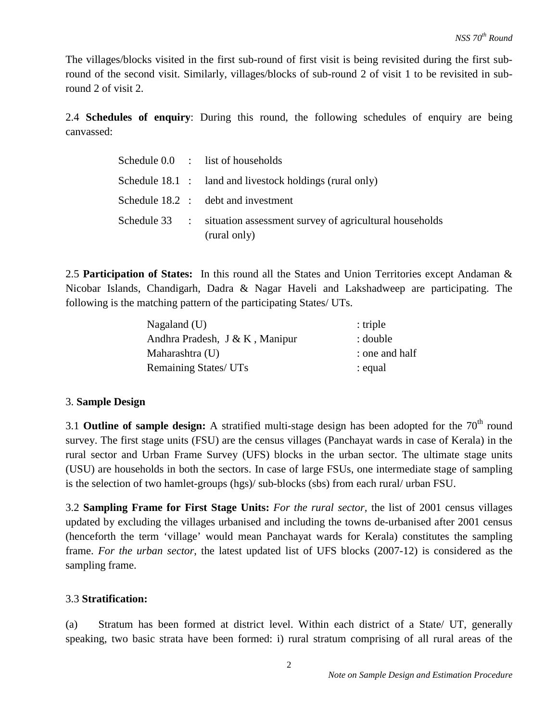The villages/blocks visited in the first sub-round of first visit is being revisited during the first subround of the second visit. Similarly, villages/blocks of sub-round 2 of visit 1 to be revisited in subround 2 of visit 2.

2.4 **Schedules of enquiry**: During this round, the following schedules of enquiry are being canvassed:

|  | Schedule 0.0 : list of households                                                    |
|--|--------------------------------------------------------------------------------------|
|  | Schedule $18.1$ : land and livestock holdings (rural only)                           |
|  | Schedule 18.2 : debt and investment                                                  |
|  | Schedule 33 : situation assessment survey of agricultural households<br>(rural only) |

2.5 **Participation of States:** In this round all the States and Union Territories except Andaman & Nicobar Islands, Chandigarh, Dadra & Nagar Haveli and Lakshadweep are participating. The following is the matching pattern of the participating States/ UTs.

| Nagaland $(U)$                 | $:$ triple     |
|--------------------------------|----------------|
| Andhra Pradesh, J & K, Manipur | : double       |
| Maharashtra (U)                | : one and half |
| Remaining States/ UTs          | : equal        |

# 3. **Sample Design**

3.1 **Outline of sample design:** A stratified multi-stage design has been adopted for the 70<sup>th</sup> round survey. The first stage units (FSU) are the census villages (Panchayat wards in case of Kerala) in the rural sector and Urban Frame Survey (UFS) blocks in the urban sector. The ultimate stage units (USU) are households in both the sectors. In case of large FSUs, one intermediate stage of sampling is the selection of two hamlet-groups (hgs)/ sub-blocks (sbs) from each rural/ urban FSU.

3.2 **Sampling Frame for First Stage Units:** *For the rural sector,* the list of 2001 census villages updated by excluding the villages urbanised and including the towns de-urbanised after 2001 census (henceforth the term 'village' would mean Panchayat wards for Kerala) constitutes the sampling frame. *For the urban sector*, the latest updated list of UFS blocks (2007-12) is considered as the sampling frame.

# 3.3 **Stratification:**

(a) Stratum has been formed at district level. Within each district of a State/ UT, generally speaking, two basic strata have been formed: i) rural stratum comprising of all rural areas of the

2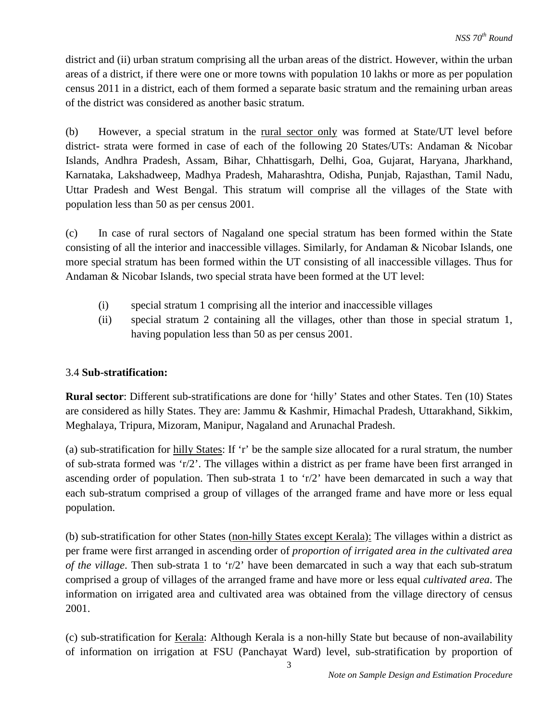district and (ii) urban stratum comprising all the urban areas of the district. However, within the urban areas of a district, if there were one or more towns with population 10 lakhs or more as per population census 2011 in a district, each of them formed a separate basic stratum and the remaining urban areas of the district was considered as another basic stratum.

(b) However, a special stratum in the rural sector only was formed at State/UT level before district- strata were formed in case of each of the following 20 States/UTs: Andaman & Nicobar Islands, Andhra Pradesh, Assam, Bihar, Chhattisgarh, Delhi, Goa, Gujarat, Haryana, Jharkhand, Karnataka, Lakshadweep, Madhya Pradesh, Maharashtra, Odisha, Punjab, Rajasthan, Tamil Nadu, Uttar Pradesh and West Bengal. This stratum will comprise all the villages of the State with population less than 50 as per census 2001.

(c) In case of rural sectors of Nagaland one special stratum has been formed within the State consisting of all the interior and inaccessible villages. Similarly, for Andaman & Nicobar Islands, one more special stratum has been formed within the UT consisting of all inaccessible villages. Thus for Andaman & Nicobar Islands, two special strata have been formed at the UT level:

- (i) special stratum 1 comprising all the interior and inaccessible villages
- (ii) special stratum 2 containing all the villages, other than those in special stratum 1, having population less than 50 as per census 2001.

# 3.4 **Sub-stratification:**

**Rural sector**: Different sub-stratifications are done for 'hilly' States and other States. Ten (10) States are considered as hilly States. They are: Jammu & Kashmir, Himachal Pradesh, Uttarakhand, Sikkim, Meghalaya, Tripura, Mizoram, Manipur, Nagaland and Arunachal Pradesh.

(a) sub-stratification for hilly States: If 'r' be the sample size allocated for a rural stratum, the number of sub-strata formed was 'r/2'. The villages within a district as per frame have been first arranged in ascending order of population. Then sub-strata 1 to 'r/2' have been demarcated in such a way that each sub-stratum comprised a group of villages of the arranged frame and have more or less equal population.

(b) sub-stratification for other States (non-hilly States except Kerala): The villages within a district as per frame were first arranged in ascending order of *proportion of irrigated area in the cultivated area of the village*. Then sub-strata 1 to 'r/2' have been demarcated in such a way that each sub-stratum comprised a group of villages of the arranged frame and have more or less equal *cultivated area*. The information on irrigated area and cultivated area was obtained from the village directory of census 2001.

(c) sub-stratification for Kerala: Although Kerala is a non-hilly State but because of non-availability of information on irrigation at FSU (Panchayat Ward) level, sub-stratification by proportion of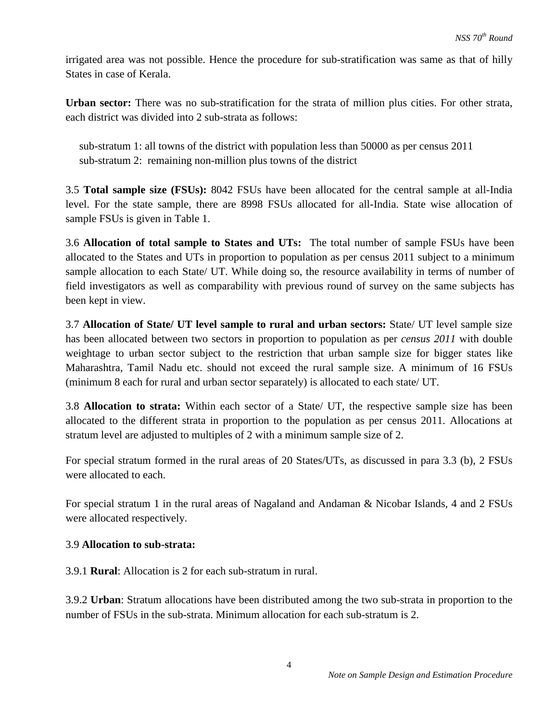irrigated area was not possible. Hence the procedure for sub-stratification was same as that of hilly States in case of Kerala.

**Urban sector:** There was no sub-stratification for the strata of million plus cities. For other strata, each district was divided into 2 sub-strata as follows:

 sub-stratum 1: all towns of the district with population less than 50000 as per census 2011 sub-stratum 2: remaining non-million plus towns of the district

3.5 **Total sample size (FSUs):** 8042 FSUs have been allocated for the central sample at all-India level. For the state sample, there are 8998 FSUs allocated for all-India. State wise allocation of sample FSUs is given in Table 1.

3.6 **Allocation of total sample to States and UTs:** The total number of sample FSUs have been allocated to the States and UTs in proportion to population as per census 2011 subject to a minimum sample allocation to each State/ UT. While doing so, the resource availability in terms of number of field investigators as well as comparability with previous round of survey on the same subjects has been kept in view.

3.7 **Allocation of State/ UT level sample to rural and urban sectors:** State/ UT level sample size has been allocated between two sectors in proportion to population as per *census 2011* with double weightage to urban sector subject to the restriction that urban sample size for bigger states like Maharashtra, Tamil Nadu etc. should not exceed the rural sample size. A minimum of 16 FSUs (minimum 8 each for rural and urban sector separately) is allocated to each state/ UT.

3.8 **Allocation to strata:** Within each sector of a State/ UT, the respective sample size has been allocated to the different strata in proportion to the population as per census 2011. Allocations at stratum level are adjusted to multiples of 2 with a minimum sample size of 2.

For special stratum formed in the rural areas of 20 States/UTs, as discussed in para 3.3 (b), 2 FSUs were allocated to each.

For special stratum 1 in the rural areas of Nagaland and Andaman & Nicobar Islands, 4 and 2 FSUs were allocated respectively.

# 3.9 **Allocation to sub-strata:**

3.9.1 **Rural**: Allocation is 2 for each sub-stratum in rural.

3.9.2 **Urban**: Stratum allocations have been distributed among the two sub-strata in proportion to the number of FSUs in the sub-strata. Minimum allocation for each sub-stratum is 2.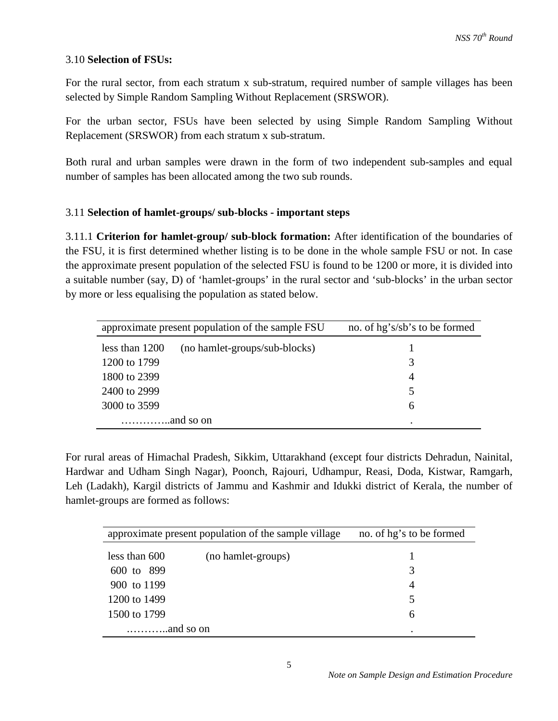#### 3.10 **Selection of FSUs:**

For the rural sector, from each stratum x sub-stratum, required number of sample villages has been selected by Simple Random Sampling Without Replacement (SRSWOR).

For the urban sector, FSUs have been selected by using Simple Random Sampling Without Replacement (SRSWOR) from each stratum x sub-stratum.

Both rural and urban samples were drawn in the form of two independent sub-samples and equal number of samples has been allocated among the two sub rounds.

#### 3.11 **Selection of hamlet-groups/ sub-blocks - important steps**

3.11.1 **Criterion for hamlet-group/ sub-block formation:** After identification of the boundaries of the FSU, it is first determined whether listing is to be done in the whole sample FSU or not. In case the approximate present population of the selected FSU is found to be 1200 or more, it is divided into a suitable number (say, D) of 'hamlet-groups' in the rural sector and 'sub-blocks' in the urban sector by more or less equalising the population as stated below.

| approximate present population of the sample FSU | no. of hg's/sb's to be formed |
|--------------------------------------------------|-------------------------------|
| less than 1200<br>(no hamlet-groups/sub-blocks)  |                               |
| 1200 to 1799                                     |                               |
| 1800 to 2399                                     | 4                             |
| 2400 to 2999                                     |                               |
| 3000 to 3599                                     | 6                             |
|                                                  | ٠                             |

For rural areas of Himachal Pradesh, Sikkim, Uttarakhand (except four districts Dehradun, Nainital, Hardwar and Udham Singh Nagar), Poonch, Rajouri, Udhampur, Reasi, Doda, Kistwar, Ramgarh, Leh (Ladakh), Kargil districts of Jammu and Kashmir and Idukki district of Kerala, the number of hamlet-groups are formed as follows:

| approximate present population of the sample village |                    | no. of hg's to be formed |  |
|------------------------------------------------------|--------------------|--------------------------|--|
| less than 600                                        | (no hamlet-groups) |                          |  |
| 600 to 899                                           |                    | 3                        |  |
| 900 to 1199                                          |                    | $\overline{4}$           |  |
| 1200 to 1499                                         |                    | 5                        |  |
| 1500 to 1799                                         |                    | 6                        |  |
|                                                      |                    |                          |  |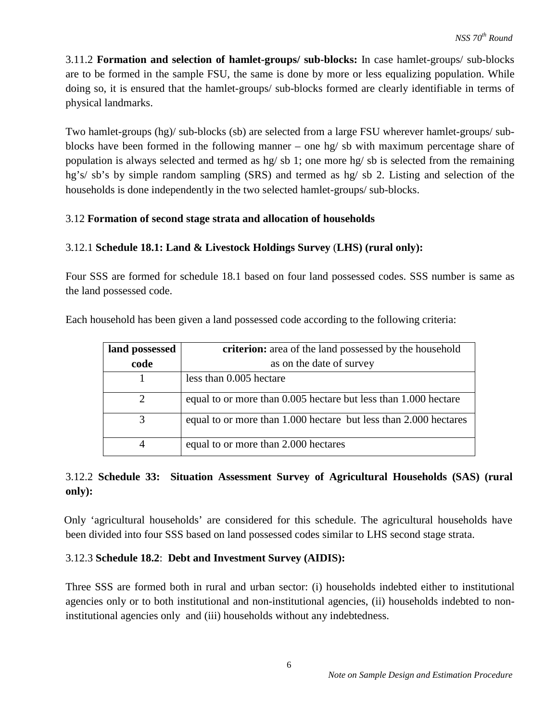3.11.2 **Formation and selection of hamlet-groups/ sub-blocks:** In case hamlet-groups/ sub-blocks are to be formed in the sample FSU, the same is done by more or less equalizing population. While doing so, it is ensured that the hamlet-groups/ sub-blocks formed are clearly identifiable in terms of physical landmarks.

Two hamlet-groups (hg)/ sub-blocks (sb) are selected from a large FSU wherever hamlet-groups/ subblocks have been formed in the following manner – one hg/ sb with maximum percentage share of population is always selected and termed as hg/ sb 1; one more hg/ sb is selected from the remaining hg's/ sb's by simple random sampling (SRS) and termed as hg/ sb 2. Listing and selection of the households is done independently in the two selected hamlet-groups/ sub-blocks.

# 3.12 **Formation of second stage strata and allocation of households**

# 3.12.1 **Schedule 18.1: Land & Livestock Holdings Survey** (**LHS) (rural only):**

Four SSS are formed for schedule 18.1 based on four land possessed codes. SSS number is same as the land possessed code.

| Each household has been given a land possessed code according to the following criteria: |  |  |
|------------------------------------------------------------------------------------------|--|--|
|                                                                                          |  |  |

| land possessed | <b>criterion:</b> area of the land possessed by the household    |  |  |
|----------------|------------------------------------------------------------------|--|--|
| code           | as on the date of survey                                         |  |  |
|                | less than 0.005 hectare                                          |  |  |
| 2              | equal to or more than 0.005 hectare but less than 1.000 hectare  |  |  |
|                | equal to or more than 1.000 hectare but less than 2.000 hectares |  |  |
|                | equal to or more than 2.000 hectares                             |  |  |

# 3.12.2 **Schedule 33: Situation Assessment Survey of Agricultural Households (SAS) (rural only):**

 Only 'agricultural households' are considered for this schedule. The agricultural households have been divided into four SSS based on land possessed codes similar to LHS second stage strata.

# 3.12.3 **Schedule 18.2**: **Debt and Investment Survey (AIDIS):**

Three SSS are formed both in rural and urban sector: (i) households indebted either to institutional agencies only or to both institutional and non-institutional agencies, (ii) households indebted to noninstitutional agencies only and (iii) households without any indebtedness.

6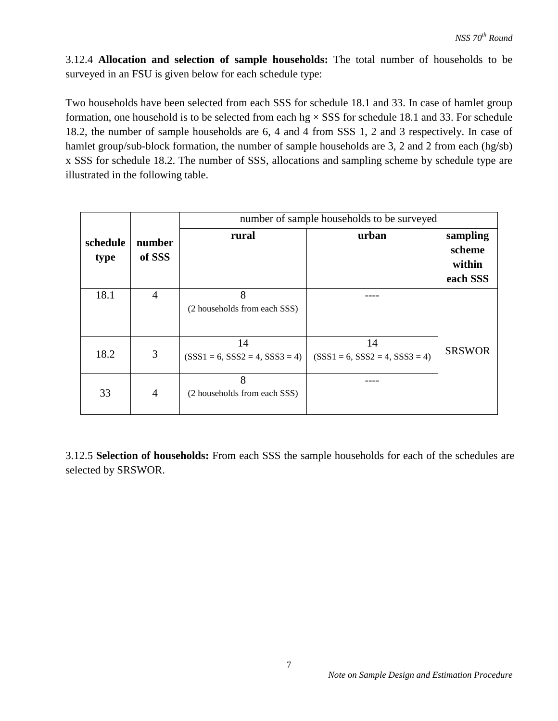3.12.4 **Allocation and selection of sample households:** The total number of households to be surveyed in an FSU is given below for each schedule type:

Two households have been selected from each SSS for schedule 18.1 and 33. In case of hamlet group formation, one household is to be selected from each  $hg \times SSS$  for schedule 18.1 and 33. For schedule 18.2, the number of sample households are 6, 4 and 4 from SSS 1, 2 and 3 respectively. In case of hamlet group/sub-block formation, the number of sample households are 3, 2 and 2 from each (hg/sb) x SSS for schedule 18.2. The number of SSS, allocations and sampling scheme by schedule type are illustrated in the following table.

|                  |                  | number of sample households to be surveyed |                                        |                                          |  |
|------------------|------------------|--------------------------------------------|----------------------------------------|------------------------------------------|--|
| schedule<br>type | number<br>of SSS | rural                                      | urban                                  | sampling<br>scheme<br>within<br>each SSS |  |
| 18.1             | 4                | 8<br>(2 households from each SSS)          |                                        |                                          |  |
| 18.2             | 3                | 14<br>$(SSS1 = 6, SSS2 = 4, SSS3 = 4)$     | 14<br>$(SSS1 = 6, SSS2 = 4, SSS3 = 4)$ | <b>SRSWOR</b>                            |  |
| 33               | $\overline{4}$   | 8<br>(2 households from each SSS)          |                                        |                                          |  |

3.12.5 **Selection of households:** From each SSS the sample households for each of the schedules are selected by SRSWOR.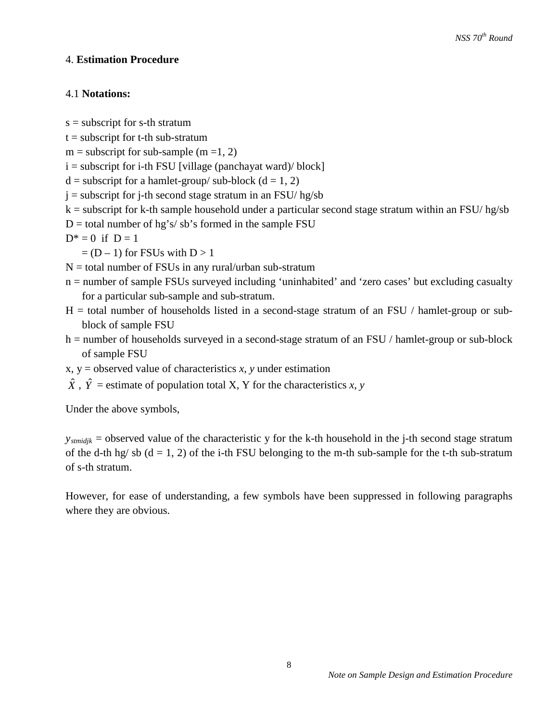# 4. **Estimation Procedure**

# 4.1 **Notations:**

- s = subscript for s-th stratum
- $t =$  subscript for t-th sub-stratum
- $m =$  subscript for sub-sample (m =1, 2)
- $i =$  subscript for i-th FSU [village (panchayat ward)/ block]
- $d =$  subscript for a hamlet-group/ sub-block ( $d = 1, 2$ )
- $j =$  subscript for j-th second stage stratum in an FSU/ hg/sb
- $k =$  subscript for k-th sample household under a particular second stage stratum within an FSU/ hg/sb
- $D =$  total number of hg's/sb's formed in the sample FSU
- $D^* = 0$  if  $D = 1$

 $= (D - 1)$  for FSUs with  $D > 1$ 

 $N =$  total number of FSUs in any rural/urban sub-stratum

- n = number of sample FSUs surveyed including 'uninhabited' and 'zero cases' but excluding casualty for a particular sub-sample and sub-stratum.
- $H =$  total number of households listed in a second-stage stratum of an FSU / hamlet-group or subblock of sample FSU
- h = number of households surveyed in a second-stage stratum of an FSU / hamlet-group or sub-block of sample FSU
- $x, y =$  observed value of characteristics  $x, y$  under estimation
- $\hat{X}$ ,  $\hat{Y}$  = estimate of population total X, Y for the characteristics *x*, *y*

Under the above symbols,

*y<sub>stmidik</sub>* = observed value of the characteristic y for the k-th household in the j-th second stage stratum of the d-th hg/sb  $(d = 1, 2)$  of the i-th FSU belonging to the m-th sub-sample for the t-th sub-stratum of s-th stratum.

However, for ease of understanding, a few symbols have been suppressed in following paragraphs where they are obvious.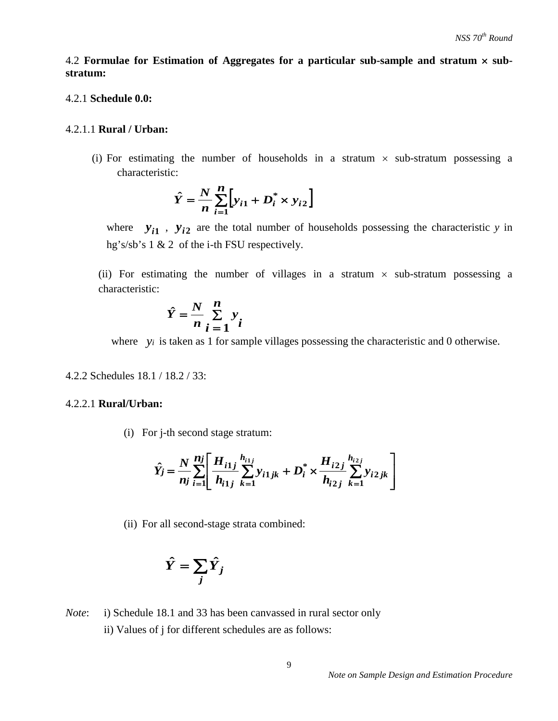4.2 **Formulae for Estimation of Aggregates for a particular sub-sample and stratum** × **substratum:** 

#### 4.2.1 **Schedule 0.0:**

#### 4.2.1.1 **Rural / Urban:**

(i) For estimating the number of households in a stratum  $\times$  sub-stratum possessing a characteristic:

$$
\hat{Y} = \frac{N}{n} \sum_{i=1}^{n} \left[ y_{i1} + D_i^* \times y_{i2} \right]
$$

where  $y_{i1}$ ,  $y_{i2}$  are the total number of households possessing the characteristic *y* in hg's/sb's 1 & 2 of the i-th FSU respectively.

(ii) For estimating the number of villages in a stratum  $\times$  sub-stratum possessing a characteristic:

$$
\hat{Y} = \frac{N}{n} \sum_{i=1}^{n} y_i
$$

where *y<sub>i</sub>* is taken as 1 for sample villages possessing the characteristic and 0 otherwise.

4.2.2 Schedules 18.1 / 18.2 / 33:

#### 4.2.2.1 **Rural/Urban:**

(i) For j-th second stage stratum:

$$
\hat{Y}_j = \frac{N}{n_j} \sum_{i=1}^{n_j} \left[ \frac{H_{i1j}}{h_{i1j}} \sum_{k=1}^{h_{i1j}} y_{i1jk} + D_i^* \times \frac{H_{i2j}}{h_{i2j}} \sum_{k=1}^{h_{i2j}} y_{i2jk} \right]
$$

(ii) For all second-stage strata combined:

$$
\hat{Y} = \sum_j \hat{Y}_j
$$

*Note*: i) Schedule 18.1 and 33 has been canvassed in rural sector only ii) Values of j for different schedules are as follows: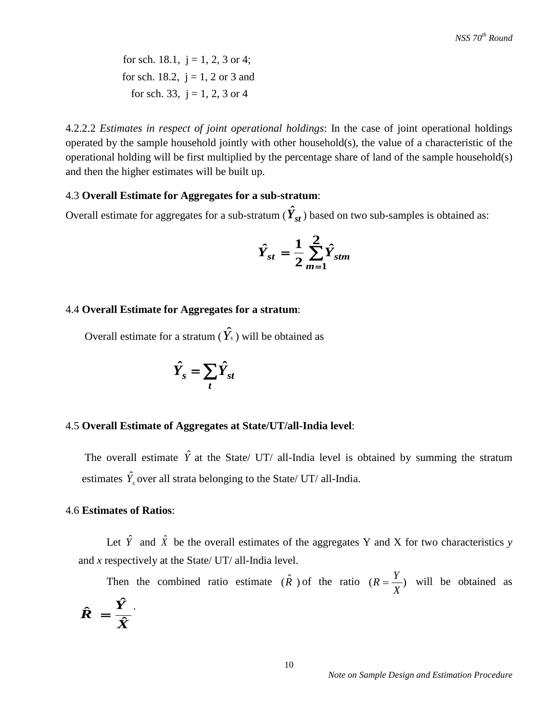for sch. 18.1,  $j = 1, 2, 3$  or 4; for sch. 18.2,  $i = 1, 2$  or 3 and for sch. 33,  $j = 1, 2, 3$  or 4

4.2.2.2 *Estimates in respect of joint operational holdings*: In the case of joint operational holdings operated by the sample household jointly with other household(s), the value of a characteristic of the operational holding will be first multiplied by the percentage share of land of the sample household(s) and then the higher estimates will be built up.

#### 4.3 **Overall Estimate for Aggregates for a sub-stratum**:

Overall estimate for aggregates for a sub-stratum  $(\hat{Y}_{st})$  based on two sub-samples is obtained as:

$$
\hat{Y}_{st} = \frac{1}{2} \sum_{m=1}^{2} \hat{Y}_{stm}
$$

#### 4.4 **Overall Estimate for Aggregates for a stratum**:

Overall estimate for a stratum ( $\hat{Y}_s$ ) will be obtained as

$$
\hat{Y}_s = \sum_t \hat{Y}_{st}
$$

#### 4.5 **Overall Estimate of Aggregates at State/UT/all-India level**:

The overall estimate  $\hat{Y}$  at the State/ UT/ all-India level is obtained by summing the stratum estimates  $\hat{Y}_s$  over all strata belonging to the State/ UT/ all-India.

#### 4.6 **Estimates of Ratios**:

Let  $\hat{Y}$  and  $\hat{X}$  be the overall estimates of the aggregates Y and X for two characteristics *y* and *x* respectively at the State/ UT/ all-India level.

Then the combined ratio estimate  $(\hat{R})$  of the ratio  $(R = \frac{Y}{X})$  will be obtained as *X Y*  $\hat{R} = \frac{I}{\hat{X}}$  $\hat{R} = \frac{\hat{Y}}{2}$ .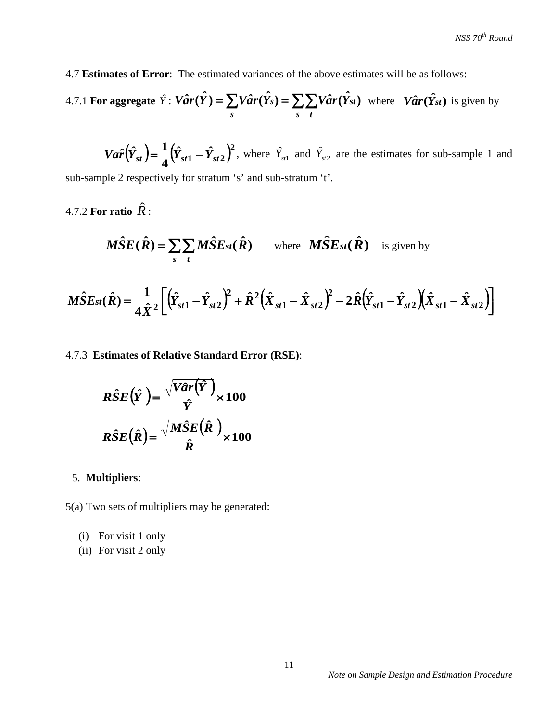4.7 **Estimates of Error**: The estimated variances of the above estimates will be as follows:

4.7.1 For aggregate 
$$
\hat{Y}
$$
:  $V\hat{a}r(\hat{Y}) = \sum_{s} V\hat{a}r(\hat{Y}_{s}) = \sum_{s} \sum_{t} V\hat{a}r(\hat{Y}_{st})$  where  $V\hat{a}r(\hat{Y}_{st})$  is given by

 $Var\left(\hat{Y}_{st}\right) = \frac{1}{4}\left(\hat{Y}_{st1} - \hat{Y}_{st2}\right)^2$ , where  $\hat{Y}_{st1}$  and  $\hat{Y}_{st2}$  are the estimates for sub-sample 1 and sub-sample 2 respectively for stratum 's' and sub-stratum 't'.

4.7.2 **For ratio** *R*ˆ :

$$
\widehat{MSE}(\hat{R}) = \sum_{s} \sum_{t} \widehat{MSE}_{st}(\hat{R}) \quad \text{where} \quad \widehat{MSE}_{st}(\hat{R}) \quad \text{is given by}
$$

$$
\hat{MSE}_{st}(\hat{R}) = \frac{1}{4\hat{X}^2} \bigg[ \big(\hat{Y}_{st1} - \hat{Y}_{st2}\big)^2 + \hat{R}^2 \big(\hat{X}_{st1} - \hat{X}_{st2}\big)^2 - 2\hat{R} \big(\hat{Y}_{st1} - \hat{Y}_{st2}\big) \big(\hat{X}_{st1} - \hat{X}_{st2}\big) \bigg]
$$

4.7.3 **Estimates of Relative Standard Error (RSE)**:

$$
R\hat{S}E(\hat{Y}) = \frac{\sqrt{Var(\hat{Y})}}{\hat{Y}} \times 100
$$

$$
R\hat{S}E(\hat{R}) = \frac{\sqrt{M\hat{S}E(\hat{R})}}{\hat{R}} \times 100
$$

# 5. **Multipliers**:

5(a) Two sets of multipliers may be generated:

- (i) For visit 1 only
- (ii) For visit 2 only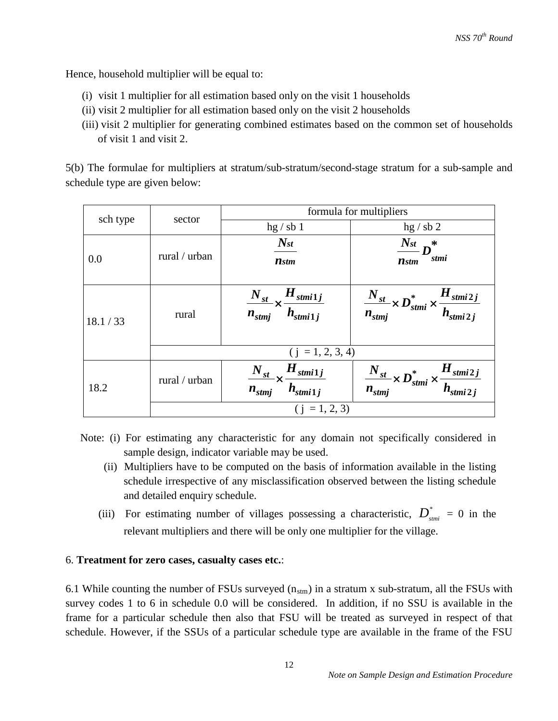Hence, household multiplier will be equal to:

- (i) visit 1 multiplier for all estimation based only on the visit 1 households
- (ii) visit 2 multiplier for all estimation based only on the visit 2 households
- (iii) visit 2 multiplier for generating combined estimates based on the common set of households of visit 1 and visit 2.

5(b) The formulae for multipliers at stratum/sub-stratum/second-stage stratum for a sub-sample and schedule type are given below:

| sch type  | sector             | formula for multipliers                                        |                                                                                   |  |  |
|-----------|--------------------|----------------------------------------------------------------|-----------------------------------------------------------------------------------|--|--|
|           |                    | hg / sb1                                                       | hg / sb 2                                                                         |  |  |
| 0.0       | rural / urban      | $N_{st}$<br><b>n</b> stm                                       | $\frac{N_{st}}{D}n^*$<br>stmi<br>$\boldsymbol{n}$ stm                             |  |  |
| 18.1 / 33 | rural              | $\frac{N_{st}}{n_{stmj}} \times \frac{H_{stmi1j}}{h_{stmi1j}}$ | $\frac{N_{st}}{n_{stmj}} \times D_{stmi}^* \times \frac{H_{stmi2j}}{h_{stmi2j}}$  |  |  |
|           | $(i = 1, 2, 3, 4)$ |                                                                |                                                                                   |  |  |
| 18.2      | rural / urban      | $\frac{N_{st}}{n_{stmj}}\times\frac{H_{stmi1j}}{h_{stmi1j}}$   | $-\frac{N_{st}}{n_{stmj}} \times D_{stmi}^* \times \frac{H_{stmi2j}}{h_{stmi2j}}$ |  |  |
|           | $(i = 1, 2, 3)$    |                                                                |                                                                                   |  |  |

- Note: (i) For estimating any characteristic for any domain not specifically considered in sample design, indicator variable may be used.
	- (ii) Multipliers have to be computed on the basis of information available in the listing schedule irrespective of any misclassification observed between the listing schedule and detailed enquiry schedule.
	- (iii) For estimating number of villages possessing a characteristic,  $D_{\text{smii}}^* = 0$  in the relevant multipliers and there will be only one multiplier for the village.

# 6. **Treatment for zero cases, casualty cases etc.**:

6.1 While counting the number of FSUs surveyed  $(n_{\text{stm}})$  in a stratum x sub-stratum, all the FSUs with survey codes 1 to 6 in schedule 0.0 will be considered. In addition, if no SSU is available in the frame for a particular schedule then also that FSU will be treated as surveyed in respect of that schedule. However, if the SSUs of a particular schedule type are available in the frame of the FSU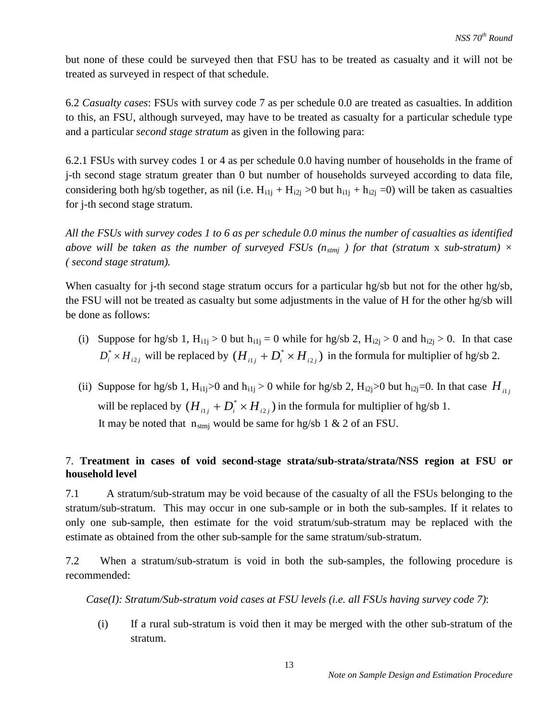but none of these could be surveyed then that FSU has to be treated as casualty and it will not be treated as surveyed in respect of that schedule.

6.2 *Casualty cases*: FSUs with survey code 7 as per schedule 0.0 are treated as casualties. In addition to this, an FSU, although surveyed, may have to be treated as casualty for a particular schedule type and a particular *second stage stratum* as given in the following para:

6.2.1 FSUs with survey codes 1 or 4 as per schedule 0.0 having number of households in the frame of j-th second stage stratum greater than 0 but number of households surveyed according to data file, considering both hg/sb together, as nil (i.e.  $H_{i1j} + H_{i2j} > 0$  but  $h_{i1j} + h_{i2j} = 0$ ) will be taken as casualties for j-th second stage stratum.

*All the FSUs with survey codes 1 to 6 as per schedule 0.0 minus the number of casualties as identified above will be taken as the number of surveyed FSUs (* $n_{\text{smi}}$ *) for that (stratum x sub-stratum)*  $\times$ *( second stage stratum).*

When casualty for j-th second stage stratum occurs for a particular hg/sb but not for the other hg/sb, the FSU will not be treated as casualty but some adjustments in the value of H for the other hg/sb will be done as follows:

- (i) Suppose for hg/sb 1,  $H_{i1j} > 0$  but  $h_{i1j} = 0$  while for hg/sb 2,  $H_{i2j} > 0$  and  $h_{i2j} > 0$ . In that case  $D_i^* \times H_{i2j}$  will be replaced by  $(H_{i1j} + D_i^* \times H_{i2j})$  in the formula for multiplier of hg/sb 2.
- (ii) Suppose for hg/sb 1, H<sub>i1j</sub>>0 and h<sub>i1j</sub> > 0 while for hg/sb 2, H<sub>i2j</sub>>0 but h<sub>i2j</sub>=0. In that case  $H_{ij}$ will be replaced by  $(H_{iij} + D_i^* \times H_{i2j})$  in the formula for multiplier of hg/sb 1. It may be noted that  $n_{\text{stmi}}$  would be same for hg/sb 1 & 2 of an FSU.

# 7. **Treatment in cases of void second-stage strata/sub-strata/strata/NSS region at FSU or household level**

7.1 A stratum/sub-stratum may be void because of the casualty of all the FSUs belonging to the stratum/sub-stratum. This may occur in one sub-sample or in both the sub-samples. If it relates to only one sub-sample, then estimate for the void stratum/sub-stratum may be replaced with the estimate as obtained from the other sub-sample for the same stratum/sub-stratum.

7.2 When a stratum/sub-stratum is void in both the sub-samples, the following procedure is recommended:

*Case(I): Stratum/Sub-stratum void cases at FSU levels (i.e. all FSUs having survey code 7)*:

(i) If a rural sub-stratum is void then it may be merged with the other sub-stratum of the stratum.